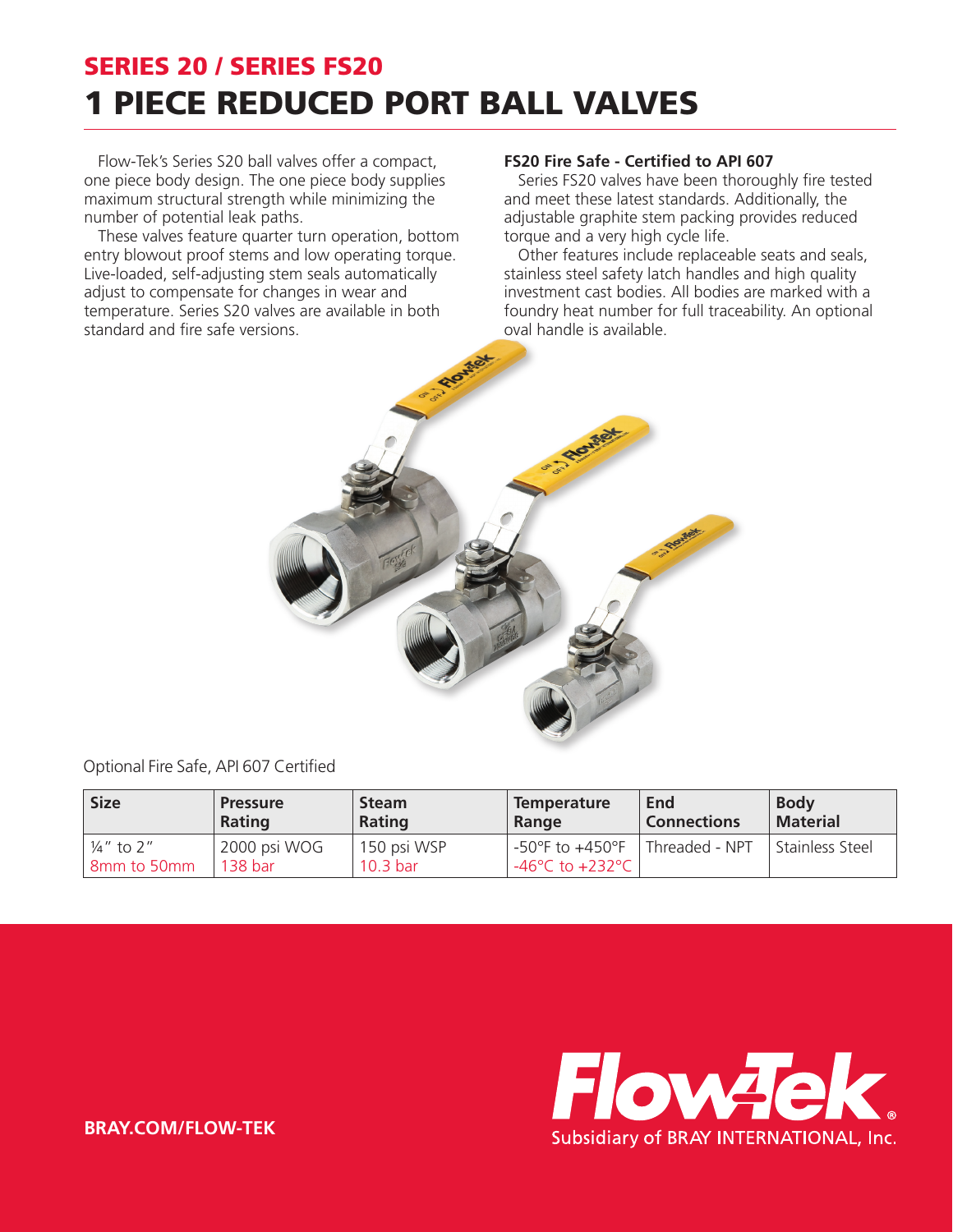## SERIES 20 / SERIES FS20 1 PIECE REDUCED PORT BALL VALVES

Flow-Tek's Series S20 ball valves offer a compact, one piece body design. The one piece body supplies maximum structural strength while minimizing the number of potential leak paths.

These valves feature quarter turn operation, bottom entry blowout proof stems and low operating torque. Live-loaded, self-adjusting stem seals automatically adjust to compensate for changes in wear and temperature. Series S20 valves are available in both standard and fire safe versions.

## **FS20 Fire Safe - Certified to API 607**

Series FS20 valves have been thoroughly fire tested and meet these latest standards. Additionally, the adjustable graphite stem packing provides reduced torque and a very high cycle life.

Other features include replaceable seats and seals, stainless steel safety latch handles and high quality investment cast bodies. All bodies are marked with a foundry heat number for full traceability. An optional oval handle is available.



Optional Fire Safe, API 607 Certified

| <b>Size</b>             | <b>Pressure</b>                    | <b>Steam</b>                       | <b>Temperature</b>                                                             | End                         | <b>Body</b>       |
|-------------------------|------------------------------------|------------------------------------|--------------------------------------------------------------------------------|-----------------------------|-------------------|
|                         | Rating                             | Rating                             | Range                                                                          | <b>Connections</b>          | <b>Material</b>   |
| ¼" to 2"<br>8mm to 50mm | 2000 psi WOG<br>138 <sub>bar</sub> | 150 psi WSP<br>10.3 <sub>bar</sub> | $-50^{\circ}$ F to $+450^{\circ}$ F<br>$-46^{\circ}$ C to +232 $^{\circ}$ C is | <sup>1</sup> Threaded - NPT | l Stainless Steel |



**BRAY.COM/FLOW-TEK**